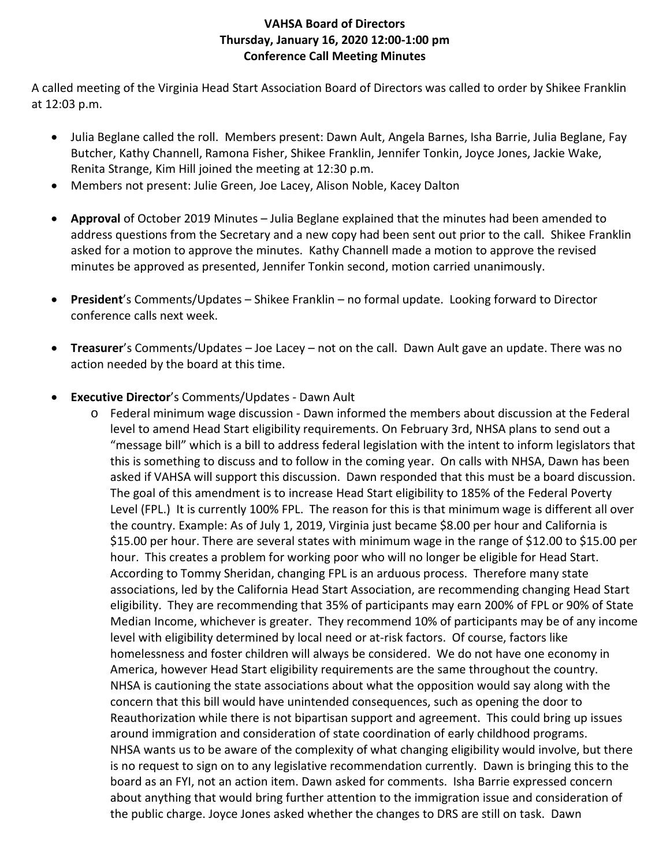## **VAHSA Board of Directors Thursday, January 16, 2020 12:00-1:00 pm Conference Call Meeting Minutes**

A called meeting of the Virginia Head Start Association Board of Directors was called to order by Shikee Franklin at 12:03 p.m.

- Julia Beglane called the roll. Members present: Dawn Ault, Angela Barnes, Isha Barrie, Julia Beglane, Fay Butcher, Kathy Channell, Ramona Fisher, Shikee Franklin, Jennifer Tonkin, Joyce Jones, Jackie Wake, Renita Strange, Kim Hill joined the meeting at 12:30 p.m.
- Members not present: Julie Green, Joe Lacey, Alison Noble, Kacey Dalton
- **Approval** of October 2019 Minutes Julia Beglane explained that the minutes had been amended to address questions from the Secretary and a new copy had been sent out prior to the call. Shikee Franklin asked for a motion to approve the minutes. Kathy Channell made a motion to approve the revised minutes be approved as presented, Jennifer Tonkin second, motion carried unanimously.
- **President**'s Comments/Updates Shikee Franklin no formal update. Looking forward to Director conference calls next week.
- **Treasurer**'s Comments/Updates Joe Lacey not on the call. Dawn Ault gave an update. There was no action needed by the board at this time.
- **Executive Director**'s Comments/Updates Dawn Ault
	- o Federal minimum wage discussion Dawn informed the members about discussion at the Federal level to amend Head Start eligibility requirements. On February 3rd, NHSA plans to send out a "message bill" which is a bill to address federal legislation with the intent to inform legislators that this is something to discuss and to follow in the coming year. On calls with NHSA, Dawn has been asked if VAHSA will support this discussion. Dawn responded that this must be a board discussion. The goal of this amendment is to increase Head Start eligibility to 185% of the Federal Poverty Level (FPL.) It is currently 100% FPL. The reason for this is that minimum wage is different all over the country. Example: As of July 1, 2019, Virginia just became \$8.00 per hour and California is \$15.00 per hour. There are several states with minimum wage in the range of \$12.00 to \$15.00 per hour. This creates a problem for working poor who will no longer be eligible for Head Start. According to Tommy Sheridan, changing FPL is an arduous process. Therefore many state associations, led by the California Head Start Association, are recommending changing Head Start eligibility. They are recommending that 35% of participants may earn 200% of FPL or 90% of State Median Income, whichever is greater. They recommend 10% of participants may be of any income level with eligibility determined by local need or at-risk factors. Of course, factors like homelessness and foster children will always be considered. We do not have one economy in America, however Head Start eligibility requirements are the same throughout the country. NHSA is cautioning the state associations about what the opposition would say along with the concern that this bill would have unintended consequences, such as opening the door to Reauthorization while there is not bipartisan support and agreement. This could bring up issues around immigration and consideration of state coordination of early childhood programs. NHSA wants us to be aware of the complexity of what changing eligibility would involve, but there is no request to sign on to any legislative recommendation currently. Dawn is bringing this to the board as an FYI, not an action item. Dawn asked for comments. Isha Barrie expressed concern about anything that would bring further attention to the immigration issue and consideration of the public charge. Joyce Jones asked whether the changes to DRS are still on task. Dawn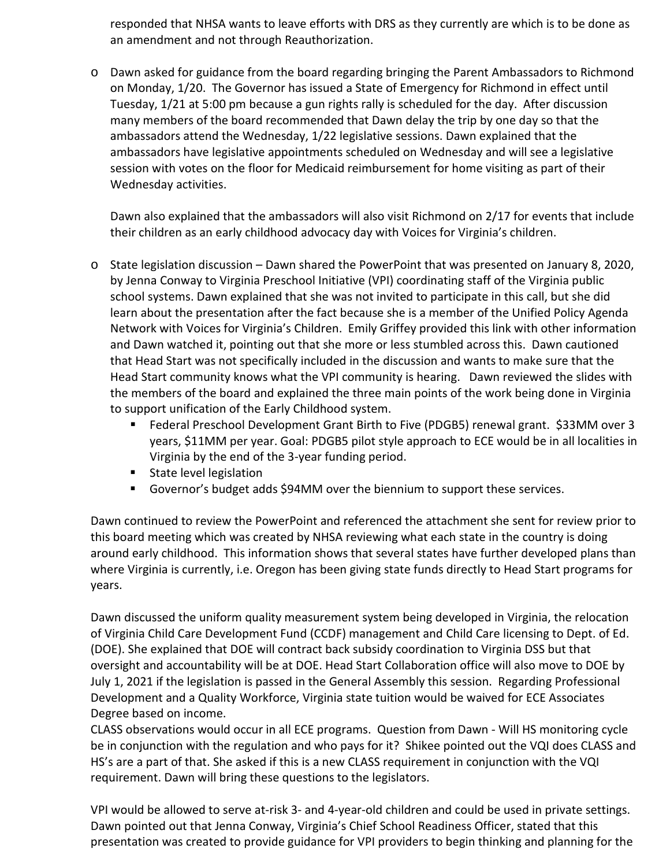responded that NHSA wants to leave efforts with DRS as they currently are which is to be done as an amendment and not through Reauthorization.

o Dawn asked for guidance from the board regarding bringing the Parent Ambassadors to Richmond on Monday, 1/20. The Governor has issued a State of Emergency for Richmond in effect until Tuesday, 1/21 at 5:00 pm because a gun rights rally is scheduled for the day. After discussion many members of the board recommended that Dawn delay the trip by one day so that the ambassadors attend the Wednesday, 1/22 legislative sessions. Dawn explained that the ambassadors have legislative appointments scheduled on Wednesday and will see a legislative session with votes on the floor for Medicaid reimbursement for home visiting as part of their Wednesday activities.

Dawn also explained that the ambassadors will also visit Richmond on 2/17 for events that include their children as an early childhood advocacy day with Voices for Virginia's children.

- o State legislation discussion Dawn shared the PowerPoint that was presented on January 8, 2020, by Jenna Conway to Virginia Preschool Initiative (VPI) coordinating staff of the Virginia public school systems. Dawn explained that she was not invited to participate in this call, but she did learn about the presentation after the fact because she is a member of the Unified Policy Agenda Network with Voices for Virginia's Children. Emily Griffey provided this link with other information and Dawn watched it, pointing out that she more or less stumbled across this. Dawn cautioned that Head Start was not specifically included in the discussion and wants to make sure that the Head Start community knows what the VPI community is hearing. Dawn reviewed the slides with the members of the board and explained the three main points of the work being done in Virginia to support unification of the Early Childhood system.
	- Federal Preschool Development Grant Birth to Five (PDGB5) renewal grant. \$33MM over 3 years, \$11MM per year. Goal: PDGB5 pilot style approach to ECE would be in all localities in Virginia by the end of the 3-year funding period.
	- **State level legislation**
	- Governor's budget adds \$94MM over the biennium to support these services.

Dawn continued to review the PowerPoint and referenced the attachment she sent for review prior to this board meeting which was created by NHSA reviewing what each state in the country is doing around early childhood. This information shows that several states have further developed plans than where Virginia is currently, i.e. Oregon has been giving state funds directly to Head Start programs for years.

Dawn discussed the uniform quality measurement system being developed in Virginia, the relocation of Virginia Child Care Development Fund (CCDF) management and Child Care licensing to Dept. of Ed. (DOE). She explained that DOE will contract back subsidy coordination to Virginia DSS but that oversight and accountability will be at DOE. Head Start Collaboration office will also move to DOE by July 1, 2021 if the legislation is passed in the General Assembly this session. Regarding Professional Development and a Quality Workforce, Virginia state tuition would be waived for ECE Associates Degree based on income.

CLASS observations would occur in all ECE programs. Question from Dawn - Will HS monitoring cycle be in conjunction with the regulation and who pays for it? Shikee pointed out the VQI does CLASS and HS's are a part of that. She asked if this is a new CLASS requirement in conjunction with the VQI requirement. Dawn will bring these questions to the legislators.

VPI would be allowed to serve at-risk 3- and 4-year-old children and could be used in private settings. Dawn pointed out that Jenna Conway, Virginia's Chief School Readiness Officer, stated that this presentation was created to provide guidance for VPI providers to begin thinking and planning for the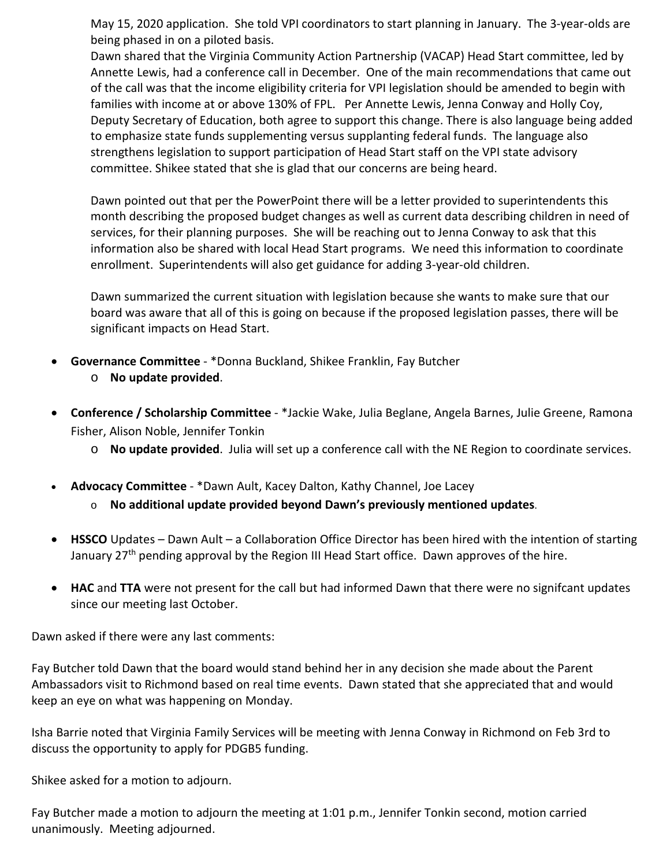May 15, 2020 application. She told VPI coordinators to start planning in January. The 3-year-olds are being phased in on a piloted basis.

Dawn shared that the Virginia Community Action Partnership (VACAP) Head Start committee, led by Annette Lewis, had a conference call in December. One of the main recommendations that came out of the call was that the income eligibility criteria for VPI legislation should be amended to begin with families with income at or above 130% of FPL. Per Annette Lewis, Jenna Conway and Holly Coy, Deputy Secretary of Education, both agree to support this change. There is also language being added to emphasize state funds supplementing versus supplanting federal funds. The language also strengthens legislation to support participation of Head Start staff on the VPI state advisory committee. Shikee stated that she is glad that our concerns are being heard.

Dawn pointed out that per the PowerPoint there will be a letter provided to superintendents this month describing the proposed budget changes as well as current data describing children in need of services, for their planning purposes. She will be reaching out to Jenna Conway to ask that this information also be shared with local Head Start programs. We need this information to coordinate enrollment. Superintendents will also get guidance for adding 3-year-old children.

Dawn summarized the current situation with legislation because she wants to make sure that our board was aware that all of this is going on because if the proposed legislation passes, there will be significant impacts on Head Start.

- **Governance Committee** \*Donna Buckland, Shikee Franklin, Fay Butcher
	- o **No update provided**.
- **Conference / Scholarship Committee** \*Jackie Wake, Julia Beglane, Angela Barnes, Julie Greene, Ramona Fisher, Alison Noble, Jennifer Tonkin
	- o **No update provided**. Julia will set up a conference call with the NE Region to coordinate services.
- **Advocacy Committee** \*Dawn Ault, Kacey Dalton, Kathy Channel, Joe Lacey
	- o **No additional update provided beyond Dawn's previously mentioned updates**.
- **HSSCO** Updates Dawn Ault a Collaboration Office Director has been hired with the intention of starting January 27<sup>th</sup> pending approval by the Region III Head Start office. Dawn approves of the hire.
- **HAC** and **TTA** were not present for the call but had informed Dawn that there were no signifcant updates since our meeting last October.

Dawn asked if there were any last comments:

Fay Butcher told Dawn that the board would stand behind her in any decision she made about the Parent Ambassadors visit to Richmond based on real time events. Dawn stated that she appreciated that and would keep an eye on what was happening on Monday.

Isha Barrie noted that Virginia Family Services will be meeting with Jenna Conway in Richmond on Feb 3rd to discuss the opportunity to apply for PDGB5 funding.

Shikee asked for a motion to adjourn.

Fay Butcher made a motion to adjourn the meeting at 1:01 p.m., Jennifer Tonkin second, motion carried unanimously. Meeting adjourned.